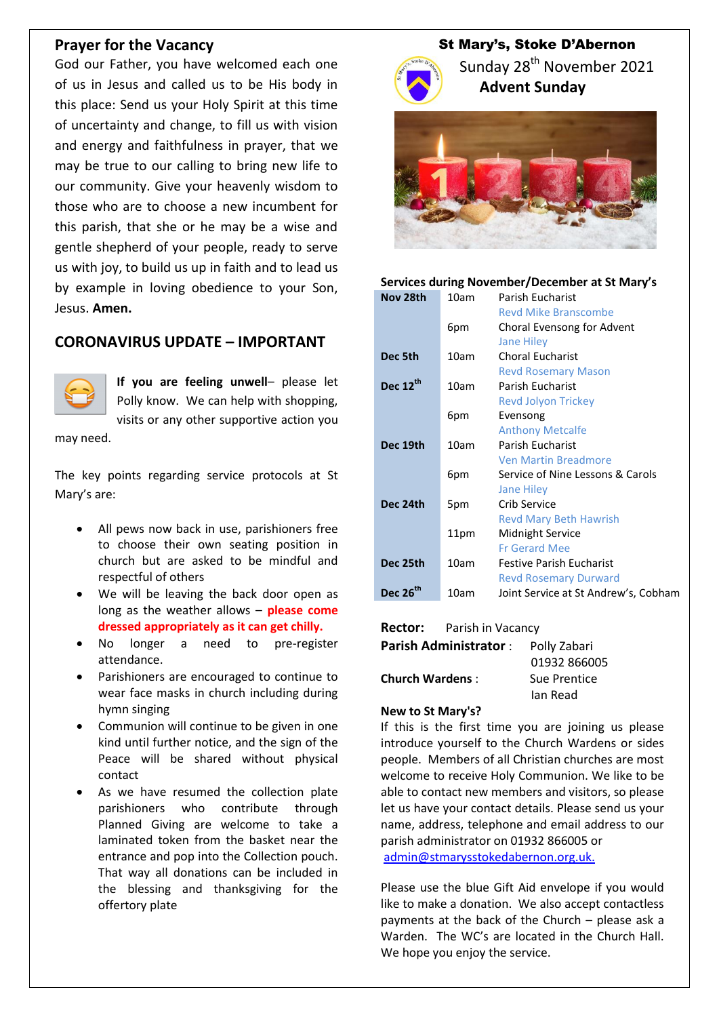### **Prayer for the Vacancy**

God our Father, you have welcomed each one of us in Jesus and called us to be His body in this place: Send us your Holy Spirit at this time of uncertainty and change, to fill us with vision and energy and faithfulness in prayer, that we may be true to our calling to bring new life to our community. Give your heavenly wisdom to those who are to choose a new incumbent for this parish, that she or he may be a wise and gentle shepherd of your people, ready to serve us with joy, to build us up in faith and to lead us by example in loving obedience to your Son, Jesus. **Amen.**

## **CORONAVIRUS UPDATE – IMPORTANT**



**If you are feeling unwell**– please let Polly know. We can help with shopping, visits or any other supportive action you

may need.

The key points regarding service protocols at St Mary's are:

- All pews now back in use, parishioners free to choose their own seating position in church but are asked to be mindful and respectful of others
- We will be leaving the back door open as long as the weather allows – **please come dressed appropriately as it can get chilly.**
- No longer a need to pre-register attendance.
- Parishioners are encouraged to continue to wear face masks in church including during hymn singing
- Communion will continue to be given in one kind until further notice, and the sign of the Peace will be shared without physical contact
- As we have resumed the collection plate parishioners who contribute through Planned Giving are welcome to take a laminated token from the basket near the entrance and pop into the Collection pouch. That way all donations can be included in the blessing and thanksgiving for the offertory plate

# St Mary's, Stoke D'Abernon



Sunday 28<sup>th</sup> November 2021  **Advent Sunday**



#### **Services during November/December at St Mary's**

| 10am | Parish Eucharist                     |
|------|--------------------------------------|
|      | <b>Revd Mike Branscombe</b>          |
| 6pm  | Choral Evensong for Advent           |
|      | <b>Jane Hiley</b>                    |
| 10am | <b>Choral Eucharist</b>              |
|      | <b>Revd Rosemary Mason</b>           |
| 10am | Parish Eucharist                     |
|      | <b>Revd Jolyon Trickey</b>           |
| 6pm  | Evensong                             |
|      | <b>Anthony Metcalfe</b>              |
| 10am | Parish Eucharist                     |
|      | <b>Ven Martin Breadmore</b>          |
| 6pm  | Service of Nine Lessons & Carols     |
|      | <b>Jane Hiley</b>                    |
| 5pm  | Crib Service                         |
|      | <b>Revd Mary Beth Hawrish</b>        |
| 11pm | Midnight Service                     |
|      | <b>Fr Gerard Mee</b>                 |
| 10am | <b>Festive Parish Eucharist</b>      |
|      | <b>Revd Rosemary Durward</b>         |
| 10am | Joint Service at St Andrew's, Cobham |
|      |                                      |

#### **Rector:** Parish in Vacancy

| <b>Parish Administrator:</b> | Polly Zabari |
|------------------------------|--------------|
|                              | 01932 866005 |
| <b>Church Wardens:</b>       | Sue Prentice |
|                              | lan Read     |

#### **New to St Mary's?**

If this is the first time you are joining us please introduce yourself to the Church Wardens or sides people. Members of all Christian churches are most welcome to receive Holy Communion. We like to be able to contact new members and visitors, so please let us have your contact details. Please send us your name, address, telephone and email address to our parish administrator on 01932 866005 or [admin@stmarysstokedabernon.org.uk.](mailto:admin@stmarysstokedabernon.org.uk)

Please use the blue Gift Aid envelope if you would like to make a donation. We also accept contactless payments at the back of the Church – please ask a Warden. The WC's are located in the Church Hall. We hope you enjoy the service.